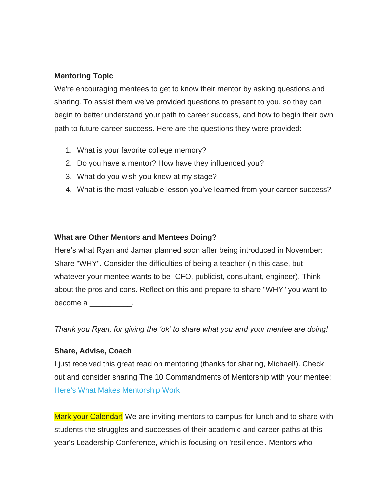## **Mentoring Topic**

We're encouraging mentees to get to know their mentor by asking questions and sharing. To assist them we've provided questions to present to you, so they can begin to better understand your path to career success, and how to begin their own path to future career success. Here are the questions they were provided:

- 1. What is your favorite college memory?
- 2. Do you have a mentor? How have they influenced you?
- 3. What do you wish you knew at my stage?
- 4. What is the most valuable lesson you've learned from your career success?

## **What are Other Mentors and Mentees Doing?**

Here's what Ryan and Jamar planned soon after being introduced in November: Share "WHY". Consider the difficulties of being a teacher (in this case, but whatever your mentee wants to be- CFO, publicist, consultant, engineer). Think about the pros and cons. Reflect on this and prepare to share "WHY" you want to become a \_\_\_\_\_\_\_\_\_\_\_.

*Thank you Ryan, for giving the 'ok' to share what you and your mentee are doing!*

## **Share, Advise, Coach**

I just received this great read on mentoring (thanks for sharing, Michael!). Check out and consider sharing The 10 Commandments of Mentorship with your mentee: [Here's What Makes Mentorship Work](http://firstround.com/review/we-studied-100-mentor-mentee-matches-heres-what-makes-mentorship-work/)

Mark your Calendar! We are inviting mentors to campus for lunch and to share with students the struggles and successes of their academic and career paths at this year's Leadership Conference, which is focusing on 'resilience'. Mentors who